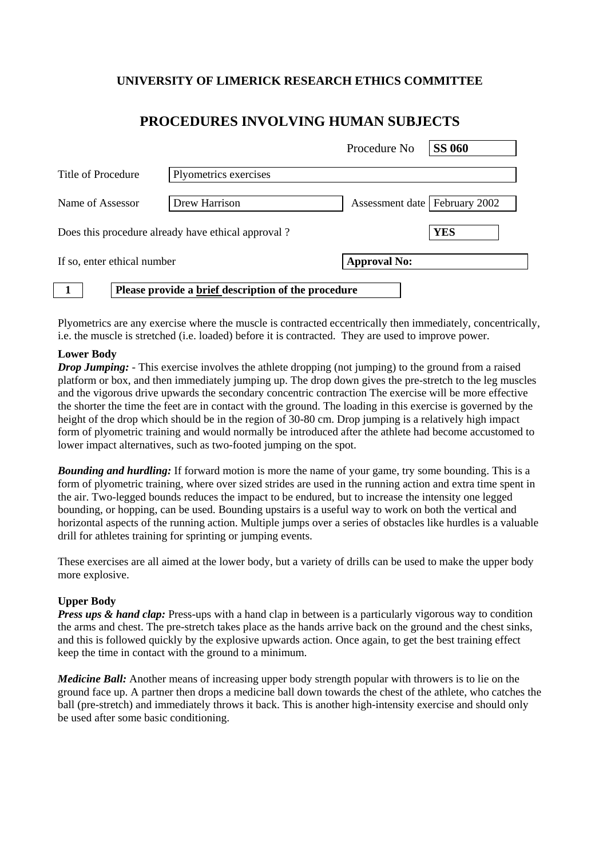## **UNIVERSITY OF LIMERICK RESEARCH ETHICS COMMITTEE**

# **PROCEDURES INVOLVING HUMAN SUBJECTS**

|                    |                             |                                                     | Procedure No                    | <b>SS 060</b> |
|--------------------|-----------------------------|-----------------------------------------------------|---------------------------------|---------------|
| Title of Procedure |                             | Plyometrics exercises                               |                                 |               |
| Name of Assessor   |                             | Drew Harrison                                       | Assessment date   February 2002 |               |
|                    |                             | Does this procedure already have ethical approval?  |                                 | <b>YES</b>    |
|                    | If so, enter ethical number |                                                     | <b>Approval No:</b>             |               |
|                    |                             | Please provide a brief description of the procedure |                                 |               |

Plyometrics are any exercise where the muscle is contracted eccentrically then immediately, concentrically, i.e. the muscle is stretched (i.e. loaded) before it is contracted. They are used to improve power.

### **Lower Body**

*Drop Jumping:* - This exercise involves the athlete dropping (not jumping) to the ground from a raised platform or box, and then immediately jumping up. The drop down gives the pre-stretch to the leg muscles and the vigorous drive upwards the secondary concentric contraction The exercise will be more effective the shorter the time the feet are in contact with the ground. The loading in this exercise is governed by the height of the drop which should be in the region of 30-80 cm. Drop jumping is a relatively high impact form of plyometric training and would normally be introduced after the athlete had become accustomed to lower impact alternatives, such as two-footed jumping on the spot.

*Bounding and hurdling:* If forward motion is more the name of your game, try some bounding. This is a form of plyometric training, where over sized strides are used in the running action and extra time spent in the air. Two-legged bounds reduces the impact to be endured, but to increase the intensity one legged bounding, or hopping, can be used. Bounding upstairs is a useful way to work on both the vertical and horizontal aspects of the running action. Multiple jumps over a series of obstacles like hurdles is a valuable drill for athletes training for sprinting or jumping events.

These exercises are all aimed at the lower body, but a variety of drills can be used to make the upper body more explosive.

### **Upper Body**

*Press ups & hand clap:* Press-ups with a hand clap in between is a particularly vigorous way to condition the arms and chest. The pre-stretch takes place as the hands arrive back on the ground and the chest sinks, and this is followed quickly by the explosive upwards action. Once again, to get the best training effect keep the time in contact with the ground to a minimum.

*Medicine Ball:* Another means of increasing upper body strength popular with throwers is to lie on the ground face up. A partner then drops a medicine ball down towards the chest of the athlete, who catches the ball (pre-stretch) and immediately throws it back. This is another high-intensity exercise and should only be used after some basic conditioning.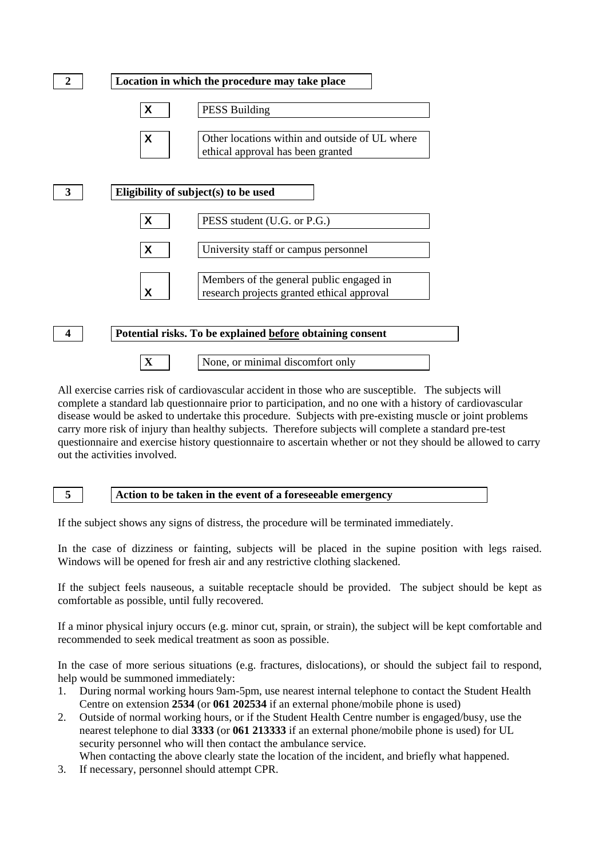

All exercise carries risk of cardiovascular accident in those who are susceptible. The subjects will complete a standard lab questionnaire prior to participation, and no one with a history of cardiovascular disease would be asked to undertake this procedure. Subjects with pre-existing muscle or joint problems carry more risk of injury than healthy subjects. Therefore subjects will complete a standard pre-test questionnaire and exercise history questionnaire to ascertain whether or not they should be allowed to carry out the activities involved.

#### **5 Action to be taken in the event of a foreseeable emergency**

If the subject shows any signs of distress, the procedure will be terminated immediately.

In the case of dizziness or fainting, subjects will be placed in the supine position with legs raised. Windows will be opened for fresh air and any restrictive clothing slackened.

If the subject feels nauseous, a suitable receptacle should be provided. The subject should be kept as comfortable as possible, until fully recovered.

If a minor physical injury occurs (e.g. minor cut, sprain, or strain), the subject will be kept comfortable and recommended to seek medical treatment as soon as possible.

In the case of more serious situations (e.g. fractures, dislocations), or should the subject fail to respond, help would be summoned immediately:

- 1. During normal working hours 9am-5pm, use nearest internal telephone to contact the Student Health Centre on extension **2534** (or **061 202534** if an external phone/mobile phone is used)
- 2. Outside of normal working hours, or if the Student Health Centre number is engaged/busy, use the nearest telephone to dial **3333** (or **061 213333** if an external phone/mobile phone is used) for UL security personnel who will then contact the ambulance service.
	- When contacting the above clearly state the location of the incident, and briefly what happened.
- 3. If necessary, personnel should attempt CPR.